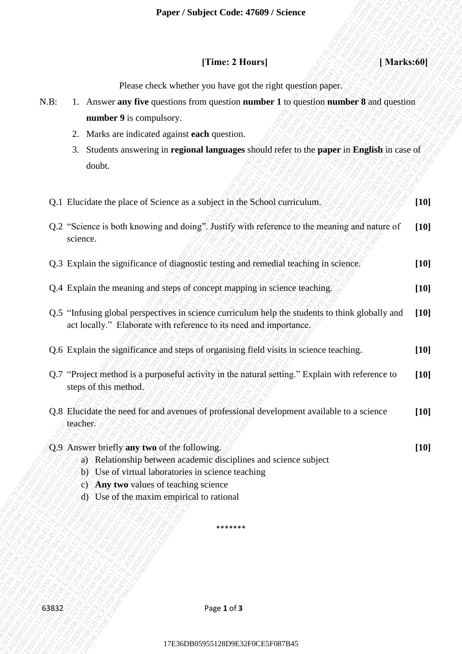## **[Time: 2 Hours]** *I s s s s s s s s s s s s s s s s s s s s s s s s s s s s s s s s s*

- N.B: 1. Answer **any five** questions from question **number 1** to question **number 8** and question **number 9** is compulsory.
	- 2. Marks are indicated against **each** question.
	- 3. Students answering in **regional languages** should refer to the **paper** in **English** in case of doubt.

|         | Paper / Subject Code: 47609 / Science                                                                                                                                                                                                                        |        |
|---------|--------------------------------------------------------------------------------------------------------------------------------------------------------------------------------------------------------------------------------------------------------------|--------|
|         | [Time: 2 Hours]<br>[Marks:60]                                                                                                                                                                                                                                |        |
|         | Please check whether you have got the right question paper.                                                                                                                                                                                                  |        |
| $N.B$ : | 1. Answer any five questions from question number 1 to question number 8 and question                                                                                                                                                                        |        |
|         | number 9 is compulsory.                                                                                                                                                                                                                                      |        |
|         | Marks are indicated against <b>each</b> question.<br>2.                                                                                                                                                                                                      |        |
|         | Students answering in regional languages should refer to the paper in English in case of<br>3.                                                                                                                                                               |        |
|         | doubt.                                                                                                                                                                                                                                                       |        |
|         | Q.1 Elucidate the place of Science as a subject in the School curriculum.                                                                                                                                                                                    | $[10]$ |
|         | Q.2 "Science is both knowing and doing". Justify with reference to the meaning and nature of<br>science.                                                                                                                                                     | $[10]$ |
|         | Q.3 Explain the significance of diagnostic testing and remedial teaching in science.                                                                                                                                                                         | $[10]$ |
|         | Q.4 Explain the meaning and steps of concept mapping in science teaching.                                                                                                                                                                                    | $[10]$ |
|         | Q.5 "Infusing global perspectives in science curriculum help the students to think globally and<br>act locally." Elaborate with reference to its need and importance.                                                                                        | $[10]$ |
|         | Q.6 Explain the significance and steps of organising field visits in science teaching.                                                                                                                                                                       | $[10]$ |
|         | Q.7 "Project method is a purposeful activity in the natural setting." Explain with reference to<br>steps of this method.                                                                                                                                     | $[10]$ |
|         | Q.8 Elucidate the need for and avenues of professional development available to a science<br>teacher.                                                                                                                                                        | $[10]$ |
|         | Q.9 Answer briefly any two of the following.<br>a) Relationship between academic disciplines and science subject<br>b) Use of virtual laboratories in science teaching<br>c) Any two values of teaching science<br>d) Use of the maxim empirical to rational | $[10]$ |
|         | *******                                                                                                                                                                                                                                                      |        |
|         |                                                                                                                                                                                                                                                              |        |
| 63832   | Page 1 of 3                                                                                                                                                                                                                                                  |        |
|         |                                                                                                                                                                                                                                                              |        |
|         | 17E36DB05955128D9E32F0CE5F087B45                                                                                                                                                                                                                             |        |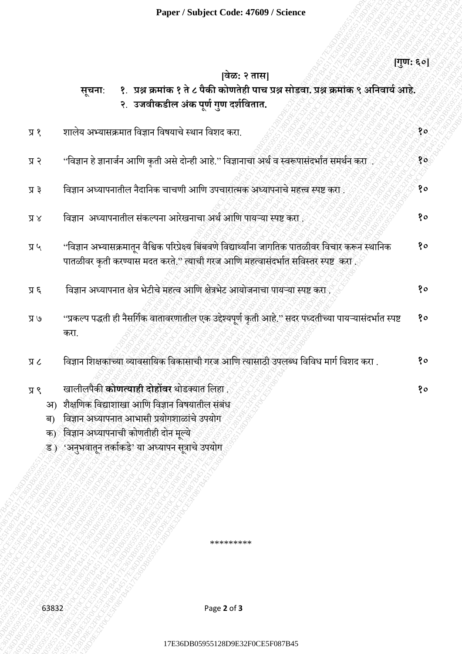|                            | Paper / Subject Code: 47609 / Science                                                                                                                                                                                                           |              |
|----------------------------|-------------------------------------------------------------------------------------------------------------------------------------------------------------------------------------------------------------------------------------------------|--------------|
|                            | वेळ: २ तास                                                                                                                                                                                                                                      | [गुण: ६०]    |
|                            | १. प्रश्न क्रमांक १ ते ८ पैकी कोणतेही पाच प्रश्न सोडवा. प्रश्न क्रमांक ९ अनिवार्य आहे.<br><b>सूचना</b> :<br>२. उजवीकडील अंक पूर्ण गुण दर्शवितात.                                                                                                |              |
| $\chi$ K                   | शालेय अभ्यासक्रमात विज्ञान विषयाचे स्थान विशद करा.                                                                                                                                                                                              | १०           |
| 5R                         | ''विज्ञान हे ज्ञानार्जन आणि कृती असे दोन्ही आहे.'' विज्ञानाचा अर्थ व स्वरूपासंदर्भात समर्थन करा                                                                                                                                                 | $80^{\circ}$ |
| प्र ३                      | विज्ञान अध्यापनातील नैदानिक चाचणी आणि उपचारात्मक अध्यापनाचे महत्त्व स्पष्ट करा                                                                                                                                                                  | १०           |
| $\lambda$ K                | विज्ञान अध्यापनातील संकल्पना आरेखनाचा अर्थ आणि पायऱ्या स्पष्ट करा.                                                                                                                                                                              | १०           |
| $\mu$ R                    | ''विज्ञान अभ्यासक्रमातून वैश्विक परिप्रेक्ष्य बिंबवणे विद्यार्थ्यांना जागतिक पातळीवर विचार करून स्थानिक<br>पातळीवर कृती करण्यास मदत करते." त्याची गरज आणि महत्वासंदर्भात सविस्तर स्पष्ट  करा                                                    | १०           |
| 3 K                        | विज्ञान अध्यापनात क्षेत्र भेटीचे महत्व आणि क्षेत्रभेट आयोजनाचा पायऱ्या स्पष्ट करा                                                                                                                                                               | १०           |
| $\mathcal{V} \mathbb{R}$   | ''प्रकल्प पद्धती ही नैसर्गिक वातावरणातील एक उद्देश्यपूर्ण कृती आहे.'' सदर पध्दतीच्या पायऱ्यासंदर्भात स्पष्ट<br>करा.                                                                                                                             | १०           |
| 又又                         | विज्ञान शिक्षकाच्या व्यावसायिक विकासाची गरज आणि त्यासाठी उपलब्ध विविध मार्ग विशद करा .                                                                                                                                                          | १०           |
| $\chi$ K<br>अ)<br>ब)<br>क) | खालीलपैकी <b>कोणत्याही दोहोंवर</b> थोडक्यात लिहा<br>शैक्षणिक विद्याशाखा आणि विज्ञान विषयातील संबंध<br>विज्ञान अध्यापनात आभासी प्रयोगशाळांचे उपयोग<br>विज्ञान अध्यापनाची कोणतीही दोन मूल्ये<br>ड) 'अनुभवातून तर्काकडे' या अध्यापन सूत्राचे उपयोग | १०           |
|                            |                                                                                                                                                                                                                                                 |              |
|                            | *********                                                                                                                                                                                                                                       |              |
| 63832                      | Page 2 of 3                                                                                                                                                                                                                                     |              |
|                            | 17E36DB05955128D9E32F0CE5F087B45                                                                                                                                                                                                                |              |